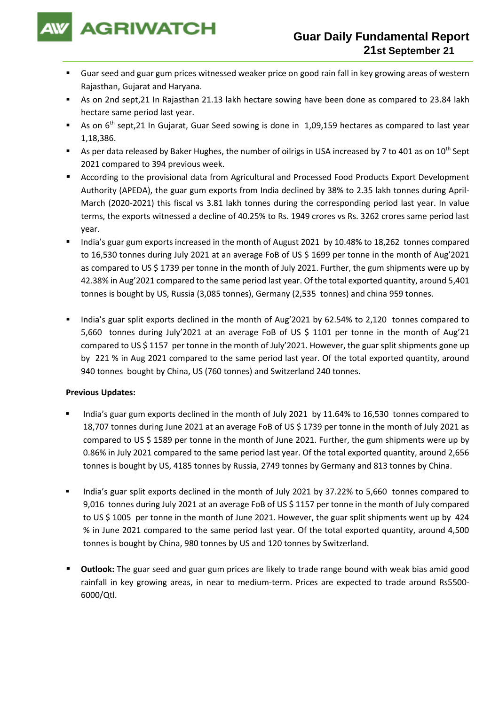

- Guar seed and guar gum prices witnessed weaker price on good rain fall in key growing areas of western Rajasthan, Gujarat and Haryana.
- As on 2nd sept,21 In Rajasthan 21.13 lakh hectare sowing have been done as compared to 23.84 lakh hectare same period last year.
- As on 6<sup>th</sup> sept,21 In Gujarat, Guar Seed sowing is done in 1,09,159 hectares as compared to last year 1,18,386.
- As per data released by Baker Hughes, the number of oilrigs in USA increased by 7 to 401 as on 10<sup>th</sup> Sept 2021 compared to 394 previous week.
- According to the provisional data from Agricultural and Processed Food Products Export Development Authority (APEDA), the guar gum exports from India declined by 38% to 2.35 lakh tonnes during April-March (2020-2021) this fiscal vs 3.81 lakh tonnes during the corresponding period last year. In value terms, the exports witnessed a decline of 40.25% to Rs. 1949 crores vs Rs. 3262 crores same period last year.
- India's guar gum exports increased in the month of August 2021 by 10.48% to 18,262 tonnes compared to 16,530 tonnes during July 2021 at an average FoB of US \$ 1699 per tonne in the month of Aug'2021 as compared to US \$ 1739 per tonne in the month of July 2021. Further, the gum shipments were up by 42.38% in Aug'2021 compared to the same period last year. Of the total exported quantity, around 5,401 tonnes is bought by US, Russia (3,085 tonnes), Germany (2,535 tonnes) and china 959 tonnes.
- India's guar split exports declined in the month of Aug'2021 by 62.54% to 2,120 tonnes compared to 5,660 tonnes during July'2021 at an average FoB of US \$ 1101 per tonne in the month of Aug'21 compared to US \$ 1157 per tonne in the month of July'2021. However, the guar split shipments gone up by 221 % in Aug 2021 compared to the same period last year. Of the total exported quantity, around 940 tonnes bought by China, US (760 tonnes) and Switzerland 240 tonnes.

## **Previous Updates:**

- India's guar gum exports declined in the month of July 2021 by 11.64% to 16,530 tonnes compared to 18,707 tonnes during June 2021 at an average FoB of US \$ 1739 per tonne in the month of July 2021 as compared to US \$ 1589 per tonne in the month of June 2021. Further, the gum shipments were up by 0.86% in July 2021 compared to the same period last year. Of the total exported quantity, around 2,656 tonnes is bought by US, 4185 tonnes by Russia, 2749 tonnes by Germany and 813 tonnes by China.
- India's guar split exports declined in the month of July 2021 by 37.22% to 5,660 tonnes compared to 9,016 tonnes during July 2021 at an average FoB of US \$ 1157 per tonne in the month of July compared to US \$ 1005 per tonne in the month of June 2021. However, the guar split shipments went up by 424 % in June 2021 compared to the same period last year. Of the total exported quantity, around 4,500 tonnes is bought by China, 980 tonnes by US and 120 tonnes by Switzerland.
- **Outlook:** The guar seed and guar gum prices are likely to trade range bound with weak bias amid good rainfall in key growing areas, in near to medium-term. Prices are expected to trade around Rs5500- 6000/Qtl.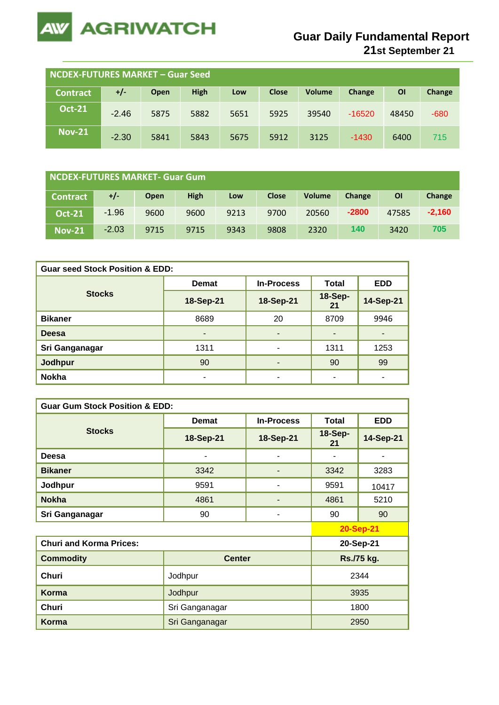

**21st September 21**

| <b>NCDEX-FUTURES MARKET - Guar Seed</b> |         |      |             |      |              |               |          |           |        |
|-----------------------------------------|---------|------|-------------|------|--------------|---------------|----------|-----------|--------|
| Contract                                | $+/-$   | Open | <b>High</b> | Low  | <b>Close</b> | <b>Volume</b> | Change   | <b>OI</b> | Change |
| <b>Oct-21</b>                           | $-2.46$ | 5875 | 5882        | 5651 | 5925         | 39540         | $-16520$ | 48450     | $-680$ |
| <b>Nov-21</b>                           | $-2.30$ | 5841 | 5843        | 5675 | 5912         | 3125          | $-1430$  | 6400      | 715    |

| NCDEX-FUTURES MARKET- Guar Gum |         |             |             |      |              |               |         |           |          |
|--------------------------------|---------|-------------|-------------|------|--------------|---------------|---------|-----------|----------|
| <b>Contract</b>                | +/-     | <b>Open</b> | <b>High</b> | Low  | <b>Close</b> | <b>Volume</b> | Change  | <b>OI</b> | Change   |
| <b>Oct-21</b>                  | $-1.96$ | 9600        | 9600        | 9213 | 9700         | 20560         | $-2800$ | 47585     | $-2.160$ |
| <b>Nov-21</b>                  | $-2.03$ | 9715        | 9715        | 9343 | 9808         | 2320          | 140     | 3420      | 705      |

| <b>Guar seed Stock Position &amp; EDD:</b> |           |                   |                      |                |  |  |  |
|--------------------------------------------|-----------|-------------------|----------------------|----------------|--|--|--|
|                                            | Demat     | <b>In-Process</b> | <b>Total</b>         | <b>EDD</b>     |  |  |  |
| <b>Stocks</b>                              | 18-Sep-21 | 18-Sep-21         | <b>18-Sep-</b><br>21 | 14-Sep-21      |  |  |  |
| <b>Bikaner</b>                             | 8689      | 20                | 8709                 | 9946           |  |  |  |
| <b>Deesa</b>                               | ۰         | ٠                 | -                    | $\blacksquare$ |  |  |  |
| Sri Ganganagar                             | 1311      | ۰                 | 1311                 | 1253           |  |  |  |
| Jodhpur                                    | 90        | ۰                 | 90                   | 99             |  |  |  |
| <b>Nokha</b>                               |           | ۰                 |                      |                |  |  |  |

| <b>Guar Gum Stock Position &amp; EDD:</b> |                |                   |                      |            |  |  |  |  |
|-------------------------------------------|----------------|-------------------|----------------------|------------|--|--|--|--|
|                                           | <b>Demat</b>   | <b>In-Process</b> | <b>Total</b>         | <b>EDD</b> |  |  |  |  |
| <b>Stocks</b>                             | 18-Sep-21      | 18-Sep-21         | <b>18-Sep-</b><br>21 | 14-Sep-21  |  |  |  |  |
| Deesa                                     | ۰              | ۰                 |                      | ۰          |  |  |  |  |
| <b>Bikaner</b>                            | 3342           |                   | 3342                 | 3283       |  |  |  |  |
| Jodhpur                                   | 9591           |                   | 9591                 | 10417      |  |  |  |  |
| <b>Nokha</b>                              | 4861           | ٠                 | 4861                 | 5210       |  |  |  |  |
| Sri Ganganagar                            | 90             | ٠                 | 90                   | 90         |  |  |  |  |
|                                           |                |                   | <b>20-Sep-21</b>     |            |  |  |  |  |
| <b>Churi and Korma Prices:</b>            |                | 20-Sep-21         |                      |            |  |  |  |  |
| <b>Commodity</b>                          | <b>Center</b>  |                   | Rs./75 kg.           |            |  |  |  |  |
| <b>Churi</b>                              | Jodhpur        |                   | 2344                 |            |  |  |  |  |
| <b>Korma</b>                              | Jodhpur        | 3935              |                      |            |  |  |  |  |
| Churi                                     | Sri Ganganagar |                   |                      | 1800       |  |  |  |  |
| Korma                                     | Sri Ganganagar |                   |                      | 2950       |  |  |  |  |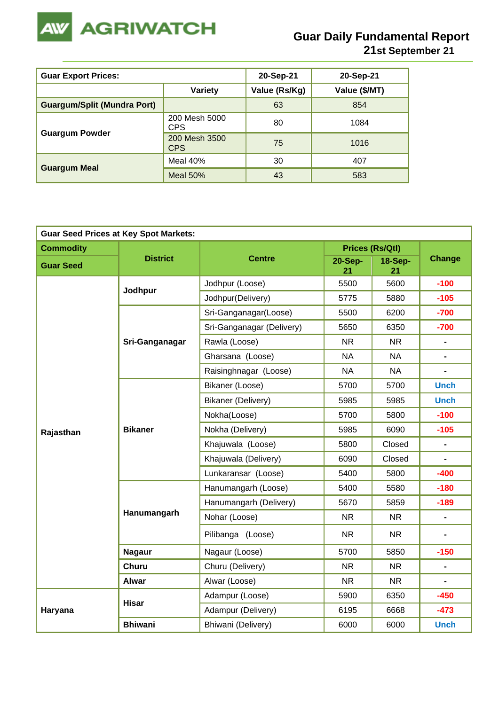

| <b>Guar Export Prices:</b>         | 20-Sep-21                   | 20-Sep-21     |               |
|------------------------------------|-----------------------------|---------------|---------------|
|                                    | <b>Variety</b>              | Value (Rs/Kg) | Value (\$/MT) |
| <b>Guargum/Split (Mundra Port)</b> |                             | 63            | 854           |
|                                    | 200 Mesh 5000<br><b>CPS</b> | 80            | 1084          |
| <b>Guargum Powder</b>              | 200 Mesh 3500<br><b>CPS</b> | 75            | 1016          |
|                                    | Meal 40%                    | 30            | 407           |
| <b>Guargum Meal</b>                | <b>Meal 50%</b>             | 43            | 583           |

| <b>Guar Seed Prices at Key Spot Markets:</b> |                 |                           |                      |                                                         |                                                                                                                                                                                                                    |  |  |  |
|----------------------------------------------|-----------------|---------------------------|----------------------|---------------------------------------------------------|--------------------------------------------------------------------------------------------------------------------------------------------------------------------------------------------------------------------|--|--|--|
| <b>Commodity</b>                             |                 |                           |                      | <b>Prices (Rs/Qtl)</b>                                  |                                                                                                                                                                                                                    |  |  |  |
| <b>Guar Seed</b>                             | <b>District</b> | <b>Centre</b>             | <b>20-Sep-</b><br>21 | <b>18-Sep-</b><br>21                                    |                                                                                                                                                                                                                    |  |  |  |
|                                              | Jodhpur         | Jodhpur (Loose)           | 5500                 | 5600                                                    | $-100$                                                                                                                                                                                                             |  |  |  |
|                                              |                 | Jodhpur(Delivery)         | 5775                 | 5880                                                    | $-105$                                                                                                                                                                                                             |  |  |  |
|                                              |                 | Sri-Ganganagar(Loose)     | 5500                 | 6200                                                    | $-700$                                                                                                                                                                                                             |  |  |  |
|                                              |                 | Sri-Ganganagar (Delivery) | 5650                 | 6350                                                    | $-700$                                                                                                                                                                                                             |  |  |  |
|                                              | Sri-Ganganagar  | Rawla (Loose)             | <b>NR</b>            | <b>NR</b>                                               | $\blacksquare$                                                                                                                                                                                                     |  |  |  |
|                                              |                 | Gharsana (Loose)          | <b>NA</b>            | <b>NA</b>                                               | $\blacksquare$                                                                                                                                                                                                     |  |  |  |
|                                              |                 | Raisinghnagar (Loose)     | <b>NA</b>            | <b>NA</b>                                               | <b>Change</b><br><b>Unch</b><br><b>Unch</b><br>$-100$<br>$-105$<br>$\blacksquare$<br>$-400$<br>$-180$<br>$-189$<br>$\blacksquare$<br>$-150$<br>$\blacksquare$<br>$\blacksquare$<br>$-450$<br>$-473$<br><b>Unch</b> |  |  |  |
|                                              |                 | Bikaner (Loose)           | 5700                 | 5700                                                    |                                                                                                                                                                                                                    |  |  |  |
| Rajasthan                                    |                 | Bikaner (Delivery)        | 5985                 | 5985                                                    |                                                                                                                                                                                                                    |  |  |  |
|                                              |                 | Nokha(Loose)              | 5700                 | 5800                                                    |                                                                                                                                                                                                                    |  |  |  |
|                                              | <b>Bikaner</b>  | Nokha (Delivery)          | 5985                 | 6090                                                    |                                                                                                                                                                                                                    |  |  |  |
|                                              |                 | Khajuwala (Loose)         | 5800                 | Closed                                                  |                                                                                                                                                                                                                    |  |  |  |
|                                              |                 | Khajuwala (Delivery)      | 6090                 | Closed                                                  |                                                                                                                                                                                                                    |  |  |  |
|                                              |                 | Lunkaransar (Loose)       | 5400                 | 5800<br>5580<br>5859<br><b>NR</b><br>NR.<br>5850<br>NR. |                                                                                                                                                                                                                    |  |  |  |
|                                              |                 | Hanumangarh (Loose)       | 5400                 |                                                         |                                                                                                                                                                                                                    |  |  |  |
|                                              |                 | Hanumangarh (Delivery)    | 5670                 |                                                         |                                                                                                                                                                                                                    |  |  |  |
|                                              | Hanumangarh     | Nohar (Loose)             | <b>NR</b>            | N <sub>R</sub><br>6350<br>6668<br>6000                  |                                                                                                                                                                                                                    |  |  |  |
|                                              |                 | Pilibanga (Loose)         | <b>NR</b>            |                                                         |                                                                                                                                                                                                                    |  |  |  |
|                                              | <b>Nagaur</b>   | Nagaur (Loose)            | 5700                 |                                                         |                                                                                                                                                                                                                    |  |  |  |
|                                              | <b>Churu</b>    | Churu (Delivery)          | <b>NR</b>            |                                                         |                                                                                                                                                                                                                    |  |  |  |
|                                              | <b>Alwar</b>    | Alwar (Loose)             | <b>NR</b>            |                                                         |                                                                                                                                                                                                                    |  |  |  |
|                                              | <b>Hisar</b>    | Adampur (Loose)           | 5900                 |                                                         |                                                                                                                                                                                                                    |  |  |  |
| Haryana                                      |                 | Adampur (Delivery)        | 6195                 |                                                         |                                                                                                                                                                                                                    |  |  |  |
|                                              | <b>Bhiwani</b>  | Bhiwani (Delivery)        | 6000                 |                                                         |                                                                                                                                                                                                                    |  |  |  |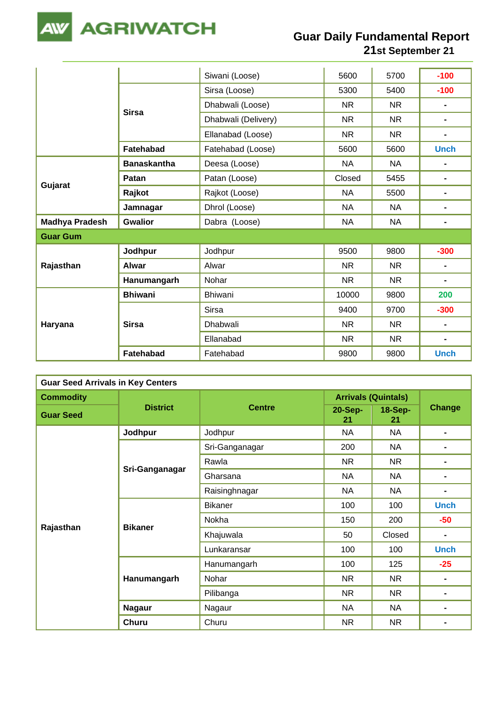

|                       |                    | Siwani (Loose)      | 5600      | 5700      | $-100$         |
|-----------------------|--------------------|---------------------|-----------|-----------|----------------|
|                       | <b>Sirsa</b>       | Sirsa (Loose)       | 5300      | 5400      | $-100$         |
|                       |                    | Dhabwali (Loose)    | <b>NR</b> | <b>NR</b> | $\blacksquare$ |
|                       |                    | Dhabwali (Delivery) | <b>NR</b> | <b>NR</b> | $\blacksquare$ |
|                       |                    | Ellanabad (Loose)   | <b>NR</b> | <b>NR</b> | $\blacksquare$ |
|                       | <b>Fatehabad</b>   | Fatehabad (Loose)   | 5600      | 5600      | <b>Unch</b>    |
|                       | <b>Banaskantha</b> | Deesa (Loose)       | <b>NA</b> | NA.       |                |
|                       | Patan              | Patan (Loose)       | Closed    | 5455      | $\blacksquare$ |
| Gujarat               | Rajkot             | Rajkot (Loose)      | <b>NA</b> | 5500      | $\blacksquare$ |
|                       | Jamnagar           | Dhrol (Loose)       | <b>NA</b> | <b>NA</b> | $\blacksquare$ |
| <b>Madhya Pradesh</b> | <b>Gwalior</b>     | Dabra (Loose)       | <b>NA</b> | <b>NA</b> | $\blacksquare$ |
| <b>Guar Gum</b>       |                    |                     |           |           |                |
|                       | Jodhpur            | Jodhpur             | 9500      | 9800      | $-300$         |
| Rajasthan             | <b>Alwar</b>       | Alwar               | <b>NR</b> | <b>NR</b> | $\blacksquare$ |
|                       | Hanumangarh        | Nohar               | <b>NR</b> | <b>NR</b> | $\blacksquare$ |
|                       | <b>Bhiwani</b>     | <b>Bhiwani</b>      | 10000     | 9800      | 200            |
|                       |                    | <b>Sirsa</b>        | 9400      | 9700      | $-300$         |
| Haryana               | <b>Sirsa</b>       | Dhabwali            | <b>NR</b> | <b>NR</b> | $\blacksquare$ |
|                       |                    | Ellanabad           | <b>NR</b> | <b>NR</b> | -              |
|                       | Fatehabad          | Fatehabad           | 9800      | 9800      | <b>Unch</b>    |

| <b>Guar Seed Arrivals in Key Centers</b> |                 |                |                            |                      |                |  |  |
|------------------------------------------|-----------------|----------------|----------------------------|----------------------|----------------|--|--|
| <b>Commodity</b>                         |                 |                | <b>Arrivals (Quintals)</b> |                      |                |  |  |
| <b>Guar Seed</b>                         | <b>District</b> | <b>Centre</b>  | 20-Sep-<br>21              | <b>18-Sep-</b><br>21 |                |  |  |
|                                          | Jodhpur         | Jodhpur        | <b>NA</b>                  | <b>NA</b>            |                |  |  |
|                                          |                 | Sri-Ganganagar | 200                        | <b>NA</b>            | $\blacksquare$ |  |  |
|                                          |                 | Rawla          | NR                         | <b>NR</b>            |                |  |  |
|                                          | Sri-Ganganagar  | Gharsana       | <b>NA</b>                  | <b>NA</b>            |                |  |  |
|                                          |                 | Raisinghnagar  | <b>NA</b>                  | <b>NA</b>            | $\blacksquare$ |  |  |
|                                          |                 | <b>Bikaner</b> | 100                        | 100                  | <b>Unch</b>    |  |  |
|                                          | <b>Bikaner</b>  | Nokha          | 150                        | 200                  | $-50$          |  |  |
| Rajasthan                                |                 | Khajuwala      | 50                         | Closed               | Ξ.             |  |  |
|                                          |                 | Lunkaransar    | 100                        | 100                  | <b>Unch</b>    |  |  |
|                                          |                 | Hanumangarh    | 100                        | 125                  | $-25$          |  |  |
|                                          | Hanumangarh     | Nohar          | NR                         | NR.                  | $\blacksquare$ |  |  |
|                                          |                 | Pilibanga      | NR                         | <b>NR</b>            | Change         |  |  |
|                                          | <b>Nagaur</b>   | Nagaur         | <b>NA</b>                  | <b>NA</b>            |                |  |  |
|                                          | <b>Churu</b>    | Churu          | <b>NR</b>                  | <b>NR</b>            |                |  |  |